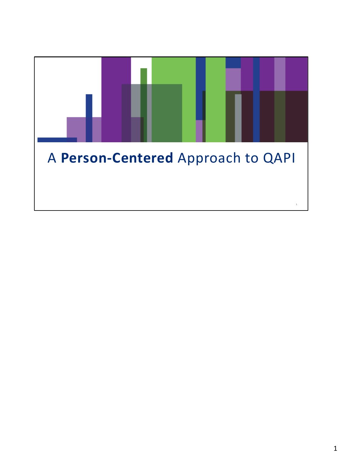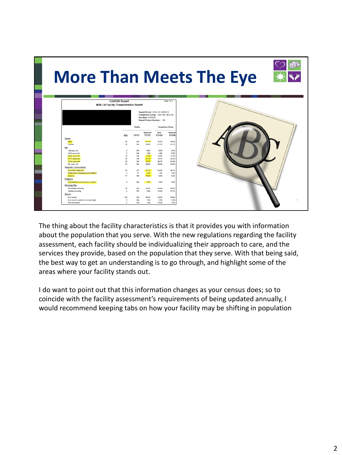| <b>More Than Meets The Eye</b><br><b>CASPER Report</b><br>Page 1 of 1<br><b>MDS 3.0 Facility Characteristics Report</b> |                                  |                                                                           |                                                                                                               |                           |               |
|-------------------------------------------------------------------------------------------------------------------------|----------------------------------|---------------------------------------------------------------------------|---------------------------------------------------------------------------------------------------------------|---------------------------|---------------|
|                                                                                                                         |                                  | Run Date: 11/19/18<br>Report Version Number: 1.00<br>Facility<br>Observed | Report Period: 07/01/18 - 09/30/18<br>Comparison Group: 03/01/18-08/31/18<br><b>Comparison Group</b><br>State | National                  |               |
| Gender<br>Male<br>Female                                                                                                | Num<br>49<br>55                  | Denom<br>Percent<br>47.1%<br>104<br>104<br>52.9%                          | Average<br>38.3%<br>61.7%                                                                                     | Average<br>38.9%<br>61.1% |               |
| Age<br><25 years old<br>25-54 years old<br>55-64 years old                                                              | $\theta$<br>$\overline{2}$<br>12 | 104<br>0.0%<br>104<br>1.9%<br>11.5%<br>104                                | 0.4%<br>4.9%<br>10.9%                                                                                         | 0.4%<br>5.5%<br>11.2%     |               |
| 65-74 years old<br>75-84 years old<br>85+ years old<br><b>Diagnostic Characteristics</b>                                | 24<br>35<br>31                   | 23.1%<br>104<br>104<br>33.7%<br>104<br>29.8%                              | 18,7%<br>26.7%<br>38.4%                                                                                       | 20.2%<br>27.9%<br>34.8%   |               |
| Psychiatric diagnosis<br>Intellectual or Developmental Disability<br>Hospice<br>Prognosis                               | 80<br>$\mathbf{2}$<br>11         | 103<br>77.7%<br>47<br>4.3%<br>104<br>10.6%                                | 60.4%<br>1.4%<br>6.9%                                                                                         | 56.1%<br>1,4%<br>6.8%     |               |
| Life expectancy of less than 6 months<br><b>Discharge Plan</b><br>Not already occurring                                 | ×<br>98                          | 7.7%<br>104<br>94.2%<br>104                                               | 5.3%<br>54.5%                                                                                                 | 5.9%<br>58.9%             |               |
| Already occurring<br>Referral<br>Not needed                                                                             | $\theta$<br>100                  | 104<br>5.8%<br>96.2%<br>104                                               | 45.5%<br>85.2%                                                                                                | 41.1%<br>89.8%            |               |
| Is or may be needed but not yet made<br>Has been made                                                                   | $\mathcal{D}$<br>$\overline{2}$  | 104<br>1.9%<br>104<br>1.9%                                                | 3.9%<br>10.9%                                                                                                 | 3.0%<br>7.2%              | $\mathcal{D}$ |

The thing about the facility characteristics is that it provides you with information about the population that you serve. With the new regulations regarding the facility assessment, each facility should be individualizing their approach to care, and the services they provide, based on the population that they serve. With that being said, the best way to get an understanding is to go through, and highlight some of the areas where your facility stands out.

I do want to point out that this information changes as your census does; so to coincide with the facility assessment's requirements of being updated annually, I would recommend keeping tabs on how your facility may be shifting in population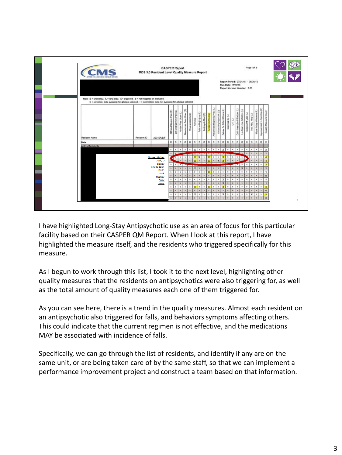

I have highlighted Long-Stay Antipsychotic use as an area of focus for this particular facility based on their CASPER QM Report. When I look at this report, I have highlighted the measure itself, and the residents who triggered specifically for this measure.

As I begun to work through this list, I took it to the next level, highlighting other quality measures that the residents on antipsychotics were also triggering for, as well as the total amount of quality measures each one of them triggered for.

As you can see here, there is a trend in the quality measures. Almost each resident on an antipsychotic also triggered for falls, and behaviors symptoms affecting others. This could indicate that the current regimen is not effective, and the medications MAY be associated with incidence of falls.

Specifically, we can go through the list of residents, and identify if any are on the same unit, or are being taken care of by the same staff, so that we can implement a performance improvement project and construct a team based on that information.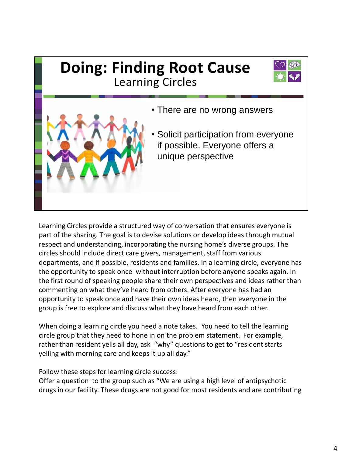## **Doing: Finding Root Cause** Learning Circles • There are no wrong answers • Solicit participation from everyone if possible. Everyone offers a unique perspective

Learning Circles provide a structured way of conversation that ensures everyone is part of the sharing. The goal is to devise solutions or develop ideas through mutual respect and understanding, incorporating the nursing home's diverse groups. The circles should include direct care givers, management, staff from various departments, and if possible, residents and families. In a learning circle, everyone has the opportunity to speak once without interruption before anyone speaks again. In the first round of speaking people share their own perspectives and ideas rather than commenting on what they've heard from others. After everyone has had an opportunity to speak once and have their own ideas heard, then everyone in the group is free to explore and discuss what they have heard from each other.

When doing a learning circle you need a note takes. You need to tell the learning circle group that they need to hone in on the problem statement. For example, rather than resident yells all day, ask "why" questions to get to "resident starts yelling with morning care and keeps it up all day."

Follow these steps for learning circle success:

Offer a question to the group such as "We are using a high level of antipsychotic drugs in our facility. These drugs are not good for most residents and are contributing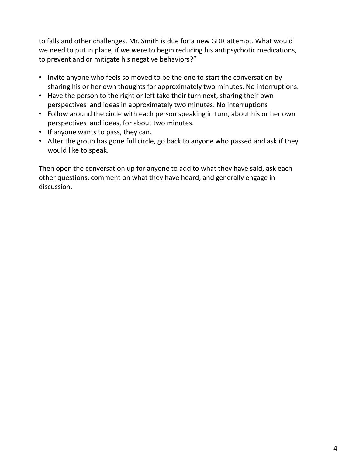to falls and other challenges. Mr. Smith is due for a new GDR attempt. What would we need to put in place, if we were to begin reducing his antipsychotic medications, to prevent and or mitigate his negative behaviors?"

- Invite anyone who feels so moved to be the one to start the conversation by sharing his or her own thoughts for approximately two minutes. No interruptions.
- Have the person to the right or left take their turn next, sharing their own perspectives and ideas in approximately two minutes. No interruptions
- Follow around the circle with each person speaking in turn, about his or her own perspectives and ideas, for about two minutes.
- If anyone wants to pass, they can.
- After the group has gone full circle, go back to anyone who passed and ask if they would like to speak.

Then open the conversation up for anyone to add to what they have said, ask each other questions, comment on what they have heard, and generally engage in discussion.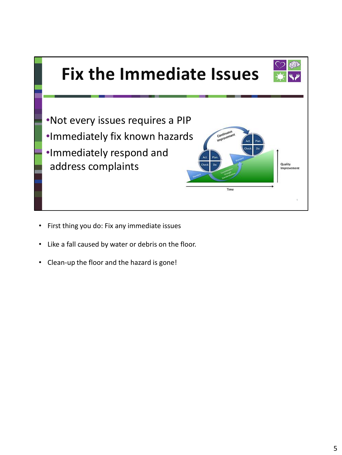

- First thing you do: Fix any immediate issues
- Like a fall caused by water or debris on the floor.
- Clean-up the floor and the hazard is gone!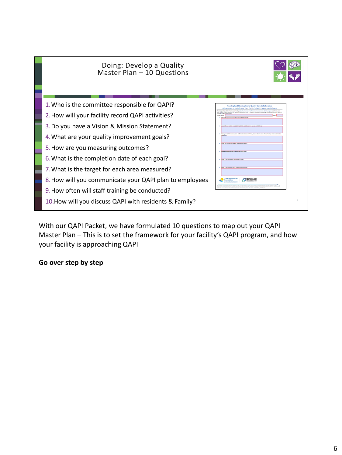

With our QAPI Packet, we have formulated 10 questions to map out your QAPI Master Plan – This is to set the framework for your facility's QAPI program, and how your facility is approaching QAPI

## **Go over step by step**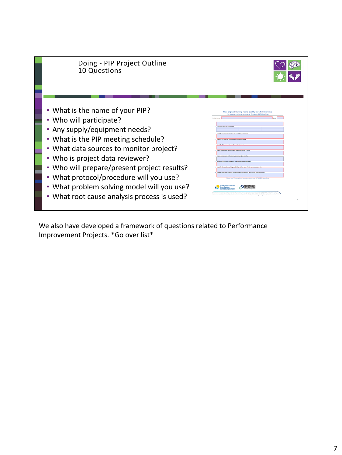

We also have developed a framework of questions related to Performance Improvement Projects. \*Go over list\*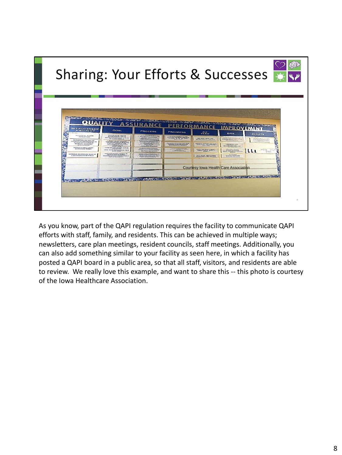

As you know, part of the QAPI regulation requires the facility to communicate QAPI efforts with staff, family, and residents. This can be achieved in multiple ways; newsletters, care plan meetings, resident councils, staff meetings. Additionally, you can also add something similar to your facility as seen here, in which a facility has posted a QAPI board in a public area, so that all staff, visitors, and residents are able to review. We really love this example, and want to share this -- this photo is courtesy of the Iowa Healthcare Association.